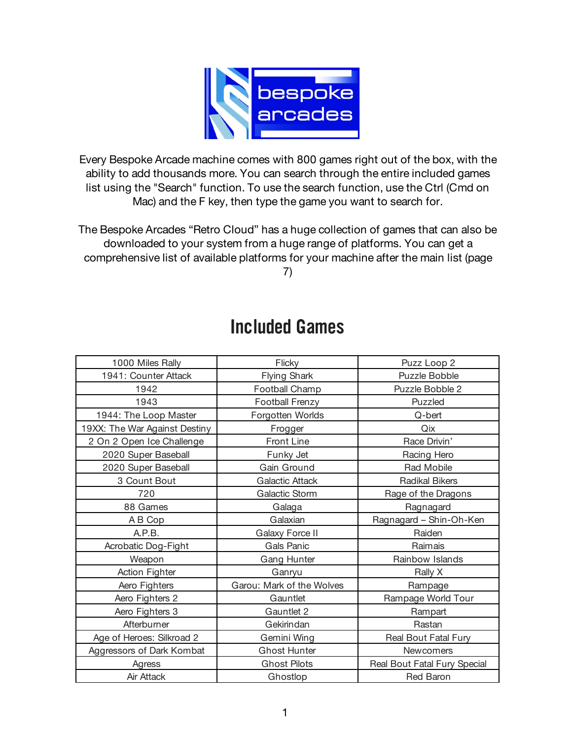

Every Bespoke Arcade machine comes with 800 games right out of the box, with the ability to add thousands more. You can search through the entire included games list using the "Search" function. To use the search function, use the Ctrl (Cmd on Mac) and the F key, then type the game you want to search for.

The Bespoke Arcades "Retro Cloud" has a huge collection of games that can also be downloaded to your system from a huge range of platforms. You can get a comprehensive list of available platforms for your machine after the main list (page

7)

| 1000 Miles Rally              | Flicky                    | Puzz Loop 2                  |
|-------------------------------|---------------------------|------------------------------|
| 1941: Counter Attack          | <b>Flying Shark</b>       | Puzzle Bobble                |
| 1942                          | Football Champ            | Puzzle Bobble 2              |
| 1943                          | Football Frenzy           | Puzzled                      |
| 1944: The Loop Master         | Forgotten Worlds          | Q-bert                       |
| 19XX: The War Against Destiny | Frogger                   | Qix                          |
| 2 On 2 Open Ice Challenge     | <b>Front Line</b>         | Race Drivin'                 |
| 2020 Super Baseball           | Funky Jet                 | Racing Hero                  |
| 2020 Super Baseball           | Gain Ground               | Rad Mobile                   |
| 3 Count Bout                  | <b>Galactic Attack</b>    | <b>Radikal Bikers</b>        |
| 720                           | Galactic Storm            | Rage of the Dragons          |
| 88 Games                      | Galaga                    | Ragnagard                    |
| A B Cop                       | Galaxian                  | Ragnagard - Shin-Oh-Ken      |
| A.P.B.                        | Galaxy Force II           | Raiden                       |
| Acrobatic Dog-Fight           | Gals Panic                | Raimais                      |
| Weapon                        | Gang Hunter               | Rainbow Islands              |
| <b>Action Fighter</b>         | Ganryu                    | Rally X                      |
| Aero Fighters                 | Garou: Mark of the Wolves | Rampage                      |
| Aero Fighters 2               | Gauntlet                  | Rampage World Tour           |
| Aero Fighters 3               | Gauntlet 2                | Rampart                      |
| Afterburner                   | Gekirindan                | Rastan                       |
| Age of Heroes: Silkroad 2     | Gemini Wing               | Real Bout Fatal Fury         |
| Aggressors of Dark Kombat     | <b>Ghost Hunter</b>       | Newcomers                    |
| Agress                        | <b>Ghost Pilots</b>       | Real Bout Fatal Fury Special |
| Air Attack                    | Ghostlop                  | <b>Red Baron</b>             |

## Included Games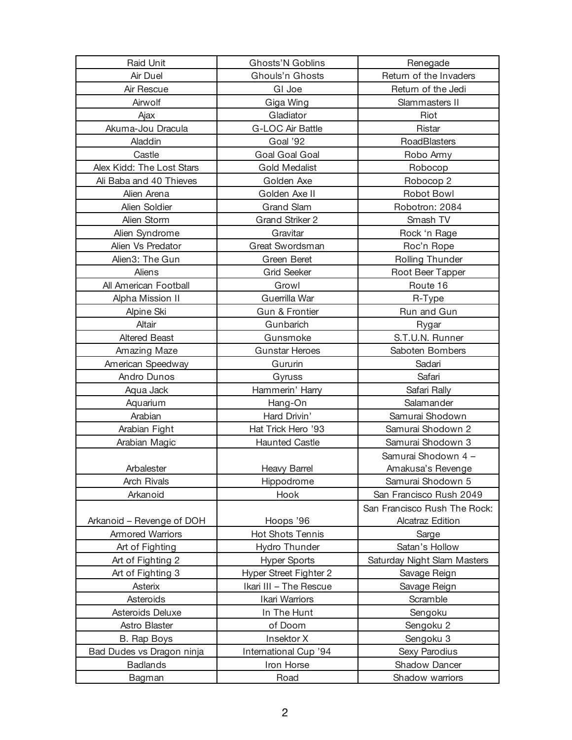| <b>Raid Unit</b>          | <b>Ghosts'N Goblins</b> | Renegade                     |
|---------------------------|-------------------------|------------------------------|
| Air Duel                  | Ghouls'n Ghosts         | Return of the Invaders       |
| Air Rescue                | GI Joe                  | Return of the Jedi           |
| Airwolf                   | Giga Wing               | Slammasters II               |
| Ajax                      | Gladiator               | Riot                         |
| Akuma-Jou Dracula         | <b>G-LOC Air Battle</b> | Ristar                       |
| Aladdin                   | Goal '92                | RoadBlasters                 |
| Castle                    | Goal Goal Goal          | Robo Army                    |
| Alex Kidd: The Lost Stars | <b>Gold Medalist</b>    | Robocop                      |
| Ali Baba and 40 Thieves   | Golden Axe              | Robocop 2                    |
| Alien Arena               | Golden Axe II           | <b>Robot Bowl</b>            |
| Alien Soldier             | <b>Grand Slam</b>       | Robotron: 2084               |
| Alien Storm               | <b>Grand Striker 2</b>  | Smash TV                     |
| Alien Syndrome            | Gravitar                | Rock 'n Rage                 |
| Alien Vs Predator         | <b>Great Swordsman</b>  | Roc'n Rope                   |
| Alien3: The Gun           | Green Beret             | Rolling Thunder              |
| Aliens                    | <b>Grid Seeker</b>      | Root Beer Tapper             |
| All American Football     | Growl                   | Route 16                     |
| Alpha Mission II          | Guerrilla War           | R-Type                       |
| Alpine Ski                | Gun & Frontier          | Run and Gun                  |
| Altair                    | Gunbarich               | Rygar                        |
| <b>Altered Beast</b>      | Gunsmoke                | S.T.U.N. Runner              |
| Amazing Maze              | <b>Gunstar Heroes</b>   | Saboten Bombers              |
| American Speedway         | Gururin                 | Sadari                       |
| Andro Dunos               | Gyruss                  | Safari                       |
| Aqua Jack                 | Hammerin' Harry         | Safari Rally                 |
| Aquarium                  | Hang-On                 | Salamander                   |
| Arabian                   | Hard Drivin'            | Samurai Shodown              |
| Arabian Fight             | Hat Trick Hero '93      | Samurai Shodown 2            |
| Arabian Magic             | <b>Haunted Castle</b>   | Samurai Shodown 3            |
|                           |                         | Samurai Shodown 4 -          |
| Arbalester                | Heavy Barrel            | Amakusa's Revenge            |
| <b>Arch Rivals</b>        | Hippodrome              | Samurai Shodown 5            |
| Arkanoid                  | Hook                    | San Francisco Rush 2049      |
|                           |                         | San Francisco Rush The Rock: |
| Arkanoid - Revenge of DOH | Hoops '96               | <b>Alcatraz Edition</b>      |
| <b>Armored Warriors</b>   | <b>Hot Shots Tennis</b> | Sarge                        |
| Art of Fighting           | Hydro Thunder           | Satan's Hollow               |
| Art of Fighting 2         | <b>Hyper Sports</b>     | Saturday Night Slam Masters  |
| Art of Fighting 3         | Hyper Street Fighter 2  | Savage Reign                 |
| Asterix                   | Ikari III - The Rescue  | Savage Reign                 |
| Asteroids                 | Ikari Warriors          | Scramble                     |
| Asteroids Deluxe          | In The Hunt             | Sengoku                      |
| Astro Blaster             | of Doom                 | Sengoku 2                    |
| B. Rap Boys               | Insektor X              | Sengoku 3                    |
| Bad Dudes vs Dragon ninja | International Cup '94   | Sexy Parodius                |
| <b>Badlands</b>           | Iron Horse              | Shadow Dancer                |
| Bagman                    | Road                    | Shadow warriors              |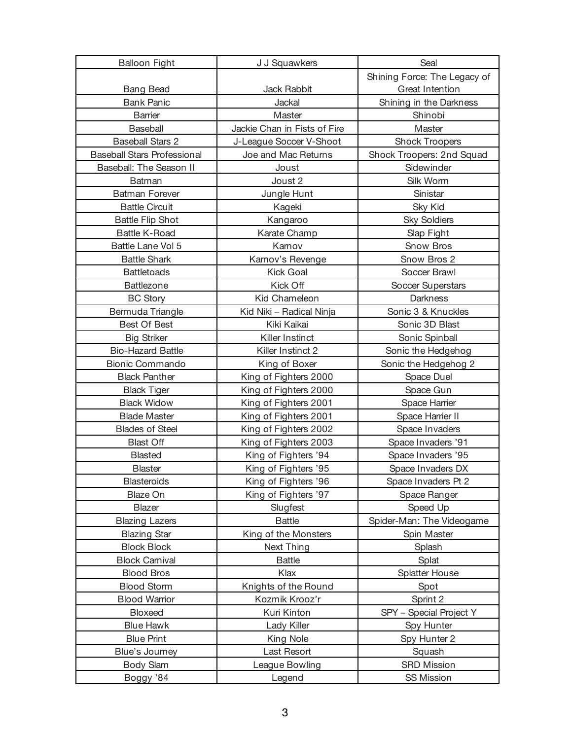| <b>Balloon Fight</b>               | J J Squawkers                | Seal                         |
|------------------------------------|------------------------------|------------------------------|
|                                    |                              | Shining Force: The Legacy of |
| <b>Bang Bead</b>                   | Jack Rabbit                  | Great Intention              |
| <b>Bank Panic</b>                  | Jackal                       | Shining in the Darkness      |
| <b>Barrier</b>                     | Master                       | Shinobi                      |
| Baseball                           | Jackie Chan in Fists of Fire | Master                       |
| <b>Baseball Stars 2</b>            | J-League Soccer V-Shoot      | <b>Shock Troopers</b>        |
| <b>Baseball Stars Professional</b> | Joe and Mac Returns          | Shock Troopers: 2nd Squad    |
| Baseball: The Season II            | Joust                        | Sidewinder                   |
| Batman                             | Joust 2                      | Silk Worm                    |
| <b>Batman Forever</b>              | Jungle Hunt                  | Sinistar                     |
| <b>Battle Circuit</b>              | Kageki                       | <b>Sky Kid</b>               |
| <b>Battle Flip Shot</b>            | Kangaroo                     | <b>Sky Soldiers</b>          |
| <b>Battle K-Road</b>               | Karate Champ                 | Slap Fight                   |
| Battle Lane Vol 5                  | Karnov                       | Snow Bros                    |
| <b>Battle Shark</b>                | Karnov's Revenge             | Snow Bros 2                  |
| <b>Battletoads</b>                 | <b>Kick Goal</b>             | Soccer Brawl                 |
| Battlezone                         | Kick Off                     | Soccer Superstars            |
| <b>BC Story</b>                    | Kid Chameleon                | Darkness                     |
| Bermuda Triangle                   | Kid Niki - Radical Ninja     | Sonic 3 & Knuckles           |
| Best Of Best                       | Kiki Kaikai                  | Sonic 3D Blast               |
| <b>Big Striker</b>                 | Killer Instinct              | Sonic Spinball               |
| <b>Bio-Hazard Battle</b>           | Killer Instinct 2            | Sonic the Hedgehog           |
| <b>Bionic Commando</b>             | King of Boxer                | Sonic the Hedgehog 2         |
| <b>Black Panther</b>               | King of Fighters 2000        | Space Duel                   |
| <b>Black Tiger</b>                 | King of Fighters 2000        | Space Gun                    |
| <b>Black Widow</b>                 | King of Fighters 2001        | Space Harrier                |
| <b>Blade Master</b>                | King of Fighters 2001        | Space Harrier II             |
| <b>Blades of Steel</b>             | King of Fighters 2002        | Space Invaders               |
| <b>Blast Off</b>                   | King of Fighters 2003        | Space Invaders '91           |
| <b>Blasted</b>                     | King of Fighters '94         | Space Invaders '95           |
| <b>Blaster</b>                     | King of Fighters '95         | Space Invaders DX            |
| <b>Blasteroids</b>                 | King of Fighters '96         | Space Invaders Pt 2          |
| Blaze On                           | King of Fighters '97         | Space Ranger                 |
| <b>Blazer</b>                      | Slugfest                     | Speed Up                     |
| <b>Blazing Lazers</b>              | <b>Battle</b>                | Spider-Man: The Videogame    |
| <b>Blazing Star</b>                | King of the Monsters         | Spin Master                  |
| <b>Block Block</b>                 | Next Thing                   | Splash                       |
| <b>Block Carnival</b>              | <b>Battle</b>                | Splat                        |
| <b>Blood Bros</b>                  | Klax                         | <b>Splatter House</b>        |
| <b>Blood Storm</b>                 | Knights of the Round         | Spot                         |
| <b>Blood Warrior</b>               | Kozmik Krooz'r               | Sprint 2                     |
| Bloxeed                            | Kuri Kinton                  | SPY - Special Project Y      |
| <b>Blue Hawk</b>                   | Lady Killer                  | Spy Hunter                   |
| <b>Blue Print</b>                  | King Nole                    | Spy Hunter 2                 |
| Blue's Journey                     | Last Resort                  | Squash                       |
| Body Slam                          | League Bowling               | <b>SRD Mission</b>           |
| Boggy '84                          | Legend                       | <b>SS Mission</b>            |
|                                    |                              |                              |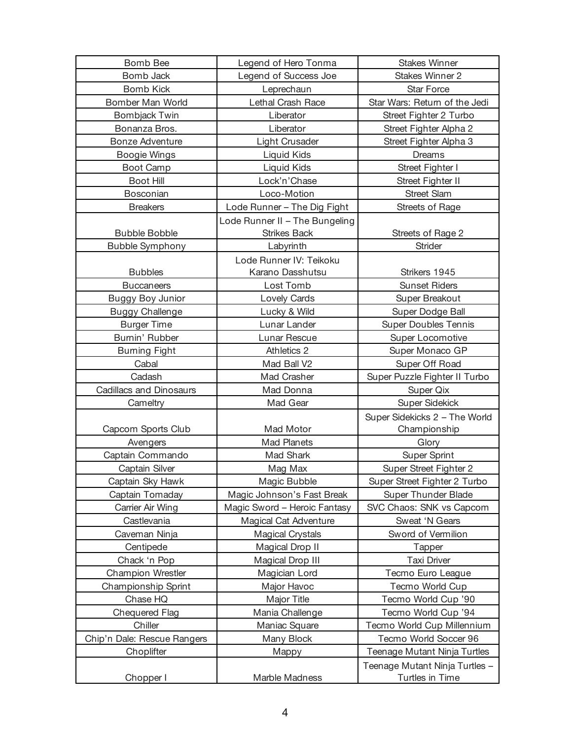| Bomb Bee                       | Legend of Hero Tonma           | <b>Stakes Winner</b>           |
|--------------------------------|--------------------------------|--------------------------------|
| Bomb Jack                      | Legend of Success Joe          | <b>Stakes Winner 2</b>         |
| <b>Bomb Kick</b>               | Leprechaun                     | <b>Star Force</b>              |
| Bomber Man World               | Lethal Crash Race              | Star Wars: Return of the Jedi  |
| <b>Bombjack Twin</b>           | Liberator                      | Street Fighter 2 Turbo         |
| Bonanza Bros.                  | Liberator                      | Street Fighter Alpha 2         |
| <b>Bonze Adventure</b>         | Light Crusader                 | Street Fighter Alpha 3         |
| Boogie Wings                   | Liquid Kids                    | Dreams                         |
| Boot Camp                      | Liquid Kids                    | Street Fighter I               |
| Boot Hill                      | Lock'n'Chase                   | Street Fighter II              |
| Bosconian                      | Loco-Motion                    | <b>Street Slam</b>             |
| <b>Breakers</b>                | Lode Runner - The Dig Fight    | Streets of Rage                |
|                                | Lode Runner II - The Bungeling |                                |
| <b>Bubble Bobble</b>           | <b>Strikes Back</b>            | Streets of Rage 2              |
| <b>Bubble Symphony</b>         | Labyrinth                      | Strider                        |
|                                | Lode Runner IV: Teikoku        |                                |
| <b>Bubbles</b>                 | Karano Dasshutsu               | Strikers 1945                  |
| <b>Buccaneers</b>              | Lost Tomb                      | <b>Sunset Riders</b>           |
| <b>Buggy Boy Junior</b>        | Lovely Cards                   | Super Breakout                 |
| <b>Buggy Challenge</b>         | Lucky & Wild                   | Super Dodge Ball               |
| <b>Burger Time</b>             | Lunar Lander                   | <b>Super Doubles Tennis</b>    |
| Burnin' Rubber                 | Lunar Rescue                   | Super Locomotive               |
| <b>Burning Fight</b>           | Athletics 2                    | Super Monaco GP                |
| Cabal                          | Mad Ball V2                    | Super Off Road                 |
| Cadash                         | Mad Crasher                    | Super Puzzle Fighter II Turbo  |
| <b>Cadillacs and Dinosaurs</b> | Mad Donna                      | Super Qix                      |
| Cameltry                       | Mad Gear                       | <b>Super Sidekick</b>          |
|                                |                                | Super Sidekicks 2 - The World  |
| Capcom Sports Club             | Mad Motor                      | Championship                   |
| Avengers                       | Mad Planets                    | Glory                          |
| Captain Commando               | Mad Shark                      | <b>Super Sprint</b>            |
| Captain Silver                 | Mag Max                        | Super Street Fighter 2         |
| Captain Sky Hawk               | Magic Bubble                   | Super Street Fighter 2 Turbo   |
| Captain Tomaday                | Magic Johnson's Fast Break     | <b>Super Thunder Blade</b>     |
| Carrier Air Wing               | Magic Sword - Heroic Fantasy   | SVC Chaos: SNK vs Capcom       |
| Castlevania                    | Magical Cat Adventure          | Sweat 'N Gears                 |
| Caveman Ninja                  | <b>Magical Crystals</b>        | Sword of Vermilion             |
| Centipede                      | Magical Drop II                | <b>Tapper</b>                  |
| Chack 'n Pop                   | Magical Drop III               | Taxi Driver                    |
| <b>Champion Wrestler</b>       | Magician Lord                  | Tecmo Euro League              |
| Championship Sprint            | Major Havoc                    | Tecmo World Cup                |
| Chase HQ                       | Major Title                    | Tecmo World Cup '90            |
| <b>Chequered Flag</b>          | Mania Challenge                | Tecmo World Cup '94            |
| Chiller                        | Maniac Square                  | Tecmo World Cup Millennium     |
| Chip'n Dale: Rescue Rangers    | Many Block                     | Tecmo World Soccer 96          |
| Choplifter                     | Mappy                          | Teenage Mutant Ninja Turtles   |
|                                |                                | Teenage Mutant Ninja Turtles - |
| Chopper I                      | Marble Madness                 | Turtles in Time                |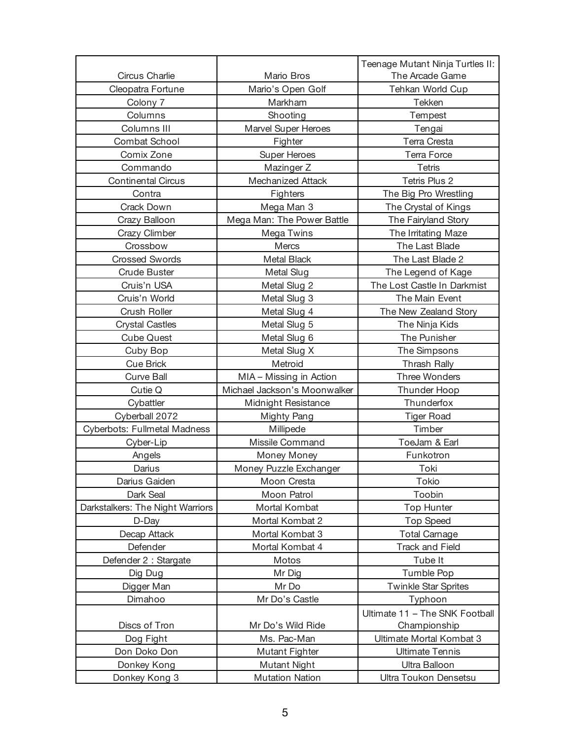|                                  |                              | Teenage Mutant Ninja Turtles II: |
|----------------------------------|------------------------------|----------------------------------|
| Circus Charlie                   | Mario Bros                   | The Arcade Game                  |
| Cleopatra Fortune                | Mario's Open Golf            | Tehkan World Cup                 |
| Colony 7                         | Markham                      | Tekken                           |
| Columns                          | Shooting                     | Tempest                          |
| Columns III                      | Marvel Super Heroes          | Tengai                           |
| <b>Combat School</b>             | Fighter                      | Terra Cresta                     |
| Comix Zone                       | <b>Super Heroes</b>          | <b>Terra Force</b>               |
| Commando                         | Mazinger Z                   | <b>Tetris</b>                    |
| <b>Continental Circus</b>        | Mechanized Attack            | Tetris Plus 2                    |
| Contra                           | Fighters                     | The Big Pro Wrestling            |
| Crack Down                       | Mega Man 3                   | The Crystal of Kings             |
| Crazy Balloon                    | Mega Man: The Power Battle   | The Fairyland Story              |
| Crazy Climber                    | Mega Twins                   | The Irritating Maze              |
| Crossbow                         | Mercs                        | The Last Blade                   |
| <b>Crossed Swords</b>            | <b>Metal Black</b>           | The Last Blade 2                 |
| <b>Crude Buster</b>              | Metal Slug                   | The Legend of Kage               |
| Cruis'n USA                      | Metal Slug 2                 | The Lost Castle In Darkmist      |
| Cruis'n World                    | Metal Slug 3                 | The Main Event                   |
| Crush Roller                     | Metal Slug 4                 | The New Zealand Story            |
| <b>Crystal Castles</b>           | Metal Slug 5                 | The Ninja Kids                   |
| <b>Cube Quest</b>                | Metal Slug 6                 | The Punisher                     |
| Cuby Bop                         | Metal Slug X                 | The Simpsons                     |
| <b>Cue Brick</b>                 | Metroid                      | Thrash Rally                     |
| Curve Ball                       | MIA - Missing in Action      | <b>Three Wonders</b>             |
| Cutie Q                          | Michael Jackson's Moonwalker | Thunder Hoop                     |
| Cybattler                        | Midnight Resistance          | Thunderfox                       |
| Cyberball 2072                   | Mighty Pang                  | Tiger Road                       |
| Cyberbots: Fullmetal Madness     | Millipede                    | Timber                           |
| Cyber-Lip                        | Missile Command              | ToeJam & Earl                    |
| Angels                           | Money Money                  | Funkotron                        |
| Darius                           | Money Puzzle Exchanger       | Toki                             |
| Darius Gaiden                    | Moon Cresta                  | Tokio                            |
| Dark Seal                        | Moon Patrol                  | Toobin                           |
| Darkstalkers: The Night Warriors | Mortal Kombat                | <b>Top Hunter</b>                |
| D-Day                            | Mortal Kombat 2              | <b>Top Speed</b>                 |
| Decap Attack                     | Mortal Kombat 3              | <b>Total Carnage</b>             |
| Defender                         | Mortal Kombat 4              | <b>Track and Field</b>           |
| Defender 2 : Stargate            | Motos                        | Tube It                          |
| Dig Dug                          | Mr Dig                       | <b>Tumble Pop</b>                |
| Digger Man                       | Mr Do                        | <b>Twinkle Star Sprites</b>      |
| Dimahoo                          | Mr Do's Castle               | Typhoon                          |
|                                  |                              | Ultimate 11 - The SNK Football   |
| Discs of Tron                    | Mr Do's Wild Ride            | Championship                     |
| Dog Fight                        | Ms. Pac-Man                  | Ultimate Mortal Kombat 3         |
| Don Doko Don                     | Mutant Fighter               | <b>Ultimate Tennis</b>           |
| Donkey Kong                      | Mutant Night                 | Ultra Balloon                    |
| Donkey Kong 3                    | <b>Mutation Nation</b>       | Ultra Toukon Densetsu            |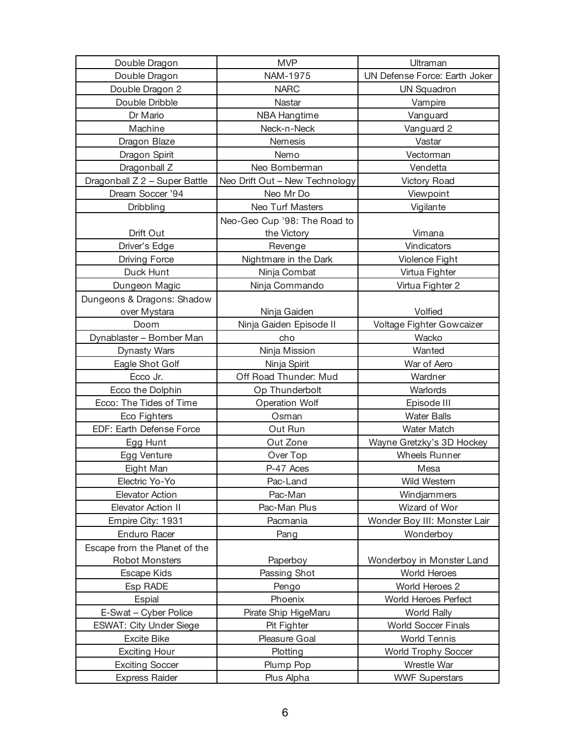| Double Dragon                 | <b>MVP</b>                     | Ultraman                      |
|-------------------------------|--------------------------------|-------------------------------|
| Double Dragon                 | NAM-1975                       | UN Defense Force: Earth Joker |
| Double Dragon 2               | <b>NARC</b>                    | <b>UN Squadron</b>            |
| Double Dribble                | Nastar                         | Vampire                       |
| Dr Mario                      | <b>NBA Hangtime</b>            | Vanguard                      |
| Machine                       | Neck-n-Neck                    | Vanguard 2                    |
| Dragon Blaze                  | Nemesis                        | Vastar                        |
| Dragon Spirit                 | Nemo                           | Vectorman                     |
| Dragonball Z                  | Neo Bomberman                  | Vendetta                      |
| Dragonball Z 2 - Super Battle | Neo Drift Out - New Technology | <b>Victory Road</b>           |
| Dream Soccer '94              | Neo Mr Do                      | Viewpoint                     |
| Dribbling                     | Neo Turf Masters               | Vigilante                     |
|                               | Neo-Geo Cup '98: The Road to   |                               |
| Drift Out                     | the Victory                    | Vimana                        |
| Driver's Edge                 | Revenge                        | Vindicators                   |
| <b>Driving Force</b>          | Nightmare in the Dark          | Violence Fight                |
| Duck Hunt                     | Ninja Combat                   | Virtua Fighter                |
| Dungeon Magic                 | Ninja Commando                 | Virtua Fighter 2              |
| Dungeons & Dragons: Shadow    |                                |                               |
| over Mystara                  | Ninja Gaiden                   | Volfied                       |
| Doom                          | Ninja Gaiden Episode II        | Voltage Fighter Gowcaizer     |
| Dynablaster - Bomber Man      | cho                            | Wacko                         |
| Dynasty Wars                  | Ninja Mission                  | Wanted                        |
| Eagle Shot Golf               | Ninja Spirit                   | War of Aero                   |
| Ecco Jr.                      | Off Road Thunder: Mud          | Wardner                       |
| Ecco the Dolphin              | Op Thunderbolt                 | Warlords                      |
| Ecco: The Tides of Time       | Operation Wolf                 | Episode III                   |
| Eco Fighters                  | Osman                          | <b>Water Balls</b>            |
| EDF: Earth Defense Force      | Out Run                        | <b>Water Match</b>            |
| Egg Hunt                      | Out Zone                       | Wayne Gretzky's 3D Hockey     |
| Egg Venture                   | Over Top                       | <b>Wheels Runner</b>          |
| Eight Man                     | P-47 Aces                      | Mesa                          |
| Electric Yo-Yo                | Pac-Land                       | Wild Western                  |
| <b>Elevator Action</b>        | Pac-Man                        | Windjammers                   |
| Elevator Action II            | Pac-Man Plus                   | Wizard of Wor                 |
| Empire City: 1931             | Pacmania                       | Wonder Boy III: Monster Lair  |
| Enduro Racer                  | Pang                           | Wonderboy                     |
| Escape from the Planet of the |                                |                               |
| <b>Robot Monsters</b>         | Paperboy                       | Wonderboy in Monster Land     |
| Escape Kids                   | Passing Shot                   | World Heroes                  |
| Esp RADE                      | Pengo                          | World Heroes 2                |
| Espial                        | Phoenix                        | World Heroes Perfect          |
| E-Swat - Cyber Police         | Pirate Ship HigeMaru           | <b>World Rally</b>            |
| ESWAT: City Under Siege       | Pit Fighter                    | <b>World Soccer Finals</b>    |
| <b>Excite Bike</b>            | Pleasure Goal                  | <b>World Tennis</b>           |
| <b>Exciting Hour</b>          | Plotting                       | <b>World Trophy Soccer</b>    |
| <b>Exciting Soccer</b>        | Plump Pop                      | Wrestle War                   |
| <b>Express Raider</b>         | Plus Alpha                     | <b>WWF Superstars</b>         |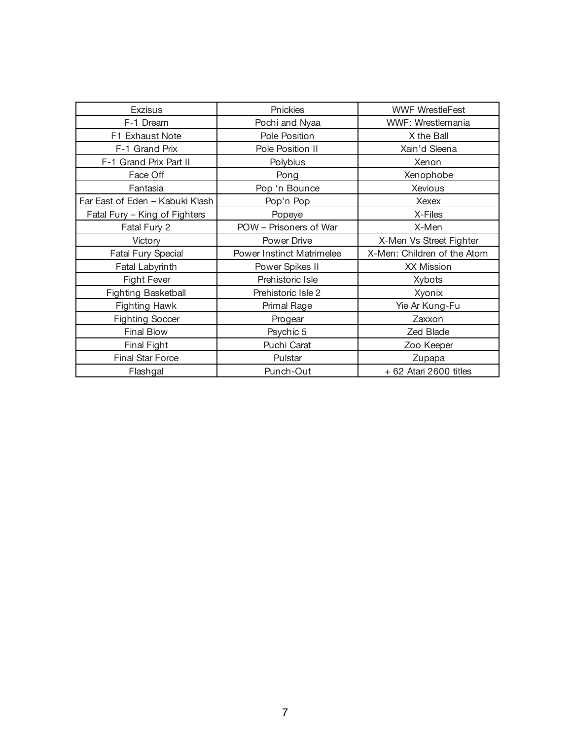| <b>Exzisus</b>                  | Pnickies                         | <b>WWF WrestleFest</b>      |
|---------------------------------|----------------------------------|-----------------------------|
| F-1 Dream                       | Pochi and Nyaa                   | WWF: Wrestlemania           |
| F1 Exhaust Note                 | Pole Position                    | X the Ball                  |
| F-1 Grand Prix                  | Pole Position II                 | Xain'd Sleena               |
| F-1 Grand Prix Part II          | Polybius                         | Xenon                       |
| Face Off                        | Pong                             | Xenophobe                   |
| Fantasia                        | Pop 'n Bounce                    | Xevious                     |
| Far East of Eden - Kabuki Klash | Pop'n Pop                        | Xexex                       |
| Fatal Fury - King of Fighters   | Popeye                           | X-Files                     |
| Fatal Fury 2                    | POW - Prisoners of War           | X-Men                       |
| Victory                         | Power Drive                      | X-Men Vs Street Fighter     |
| <b>Fatal Fury Special</b>       | <b>Power Instinct Matrimelee</b> | X-Men: Children of the Atom |
| Fatal Labyrinth                 | Power Spikes II                  | <b>XX Mission</b>           |
| <b>Fight Fever</b>              | Prehistoric Isle                 | <b>Xybots</b>               |
| <b>Fighting Basketball</b>      | Prehistoric Isle 2               | Xyonix                      |
| <b>Fighting Hawk</b>            | Primal Rage                      | Yie Ar Kung-Fu              |
| <b>Fighting Soccer</b>          | Progear                          | Zaxxon                      |
| <b>Final Blow</b>               | Psychic 5                        | Zed Blade                   |
| <b>Final Fight</b>              | Puchi Carat                      | Zoo Keeper                  |
| <b>Final Star Force</b>         | Pulstar                          | Zupapa                      |
| Flashgal                        | Punch-Out                        | $+62$ Atari 2600 titles     |